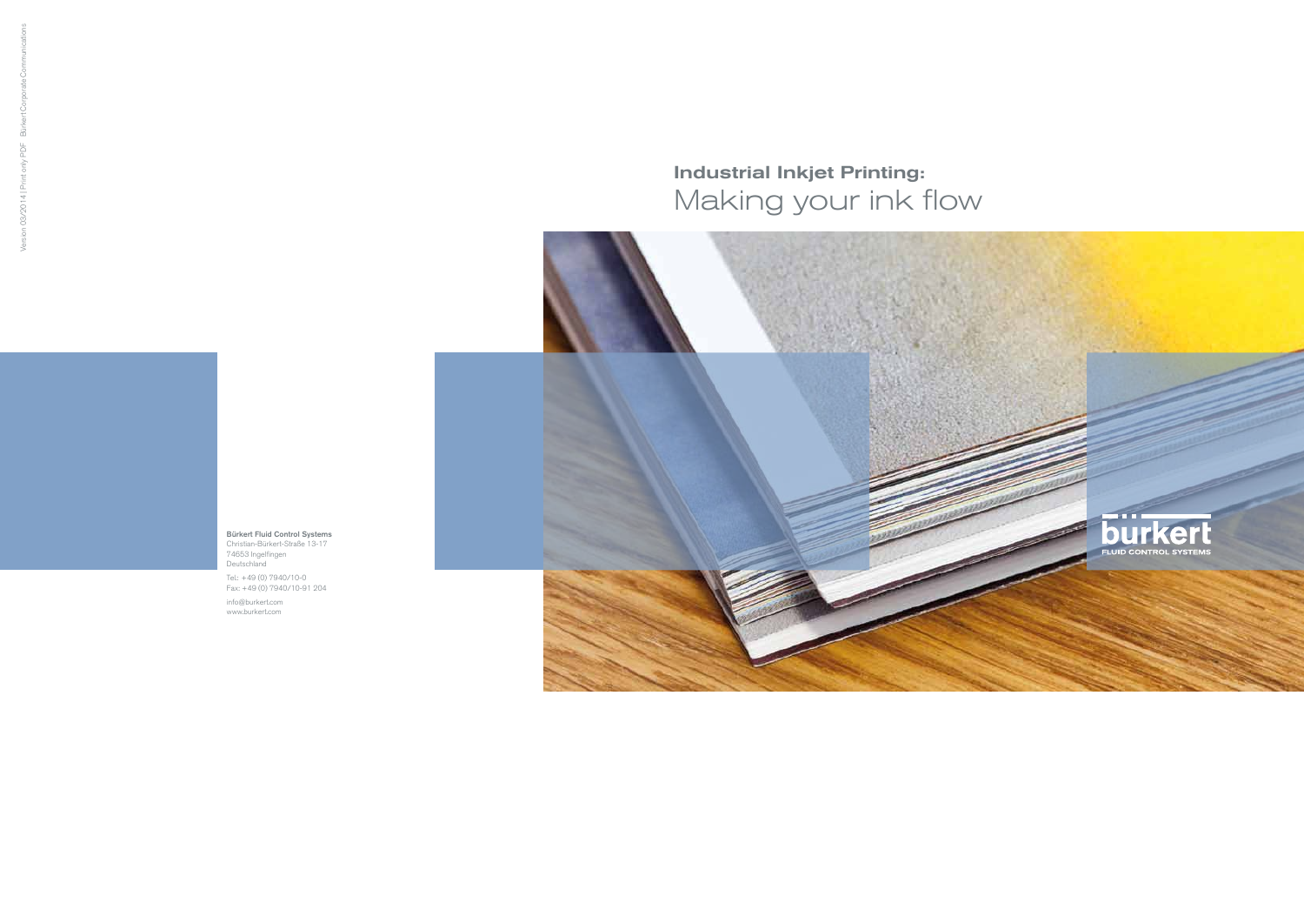Bürkert Fluid Control Systems Christian-Bürkert-Straße 13-17 74653 Ingelfingen Deutschland

Tel.: +49 (0) 7940/10-0 Fax: +49 (0) 7940/10-91 204

info@burkert.com www.burkert.com

## Industrial Inkjet Printing: Making your ink flow